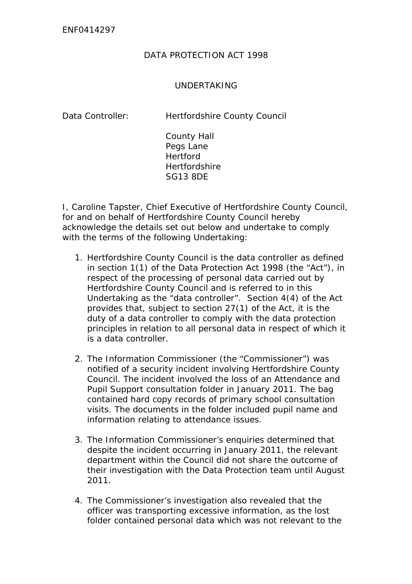## DATA PROTECTION ACT 1998

## UNDERTAKING

Data Controller: Hertfordshire County Council

County Hall Pegs Lane **Hertford Hertfordshire** SG13 8DE

I, Caroline Tapster, Chief Executive of Hertfordshire County Council, for and on behalf of Hertfordshire County Council hereby acknowledge the details set out below and undertake to comply with the terms of the following Undertaking:

- 1. Hertfordshire County Council is the data controller as defined in section 1(1) of the Data Protection Act 1998 (the "Act"), in respect of the processing of personal data carried out by Hertfordshire County Council and is referred to in this Undertaking as the "data controller". Section 4(4) of the Act provides that, subject to section 27(1) of the Act, it is the duty of a data controller to comply with the data protection principles in relation to all personal data in respect of which it is a data controller.
- 2. The Information Commissioner (the "Commissioner") was notified of a security incident involving Hertfordshire County Council. The incident involved the loss of an Attendance and Pupil Support consultation folder in January 2011. The bag contained hard copy records of primary school consultation visits. The documents in the folder included pupil name and information relating to attendance issues.
- 3. The Information Commissioner's enquiries determined that despite the incident occurring in January 2011, the relevant department within the Council did not share the outcome of their investigation with the Data Protection team until August 2011.
- 4. The Commissioner's investigation also revealed that the officer was transporting excessive information, as the lost folder contained personal data which was not relevant to the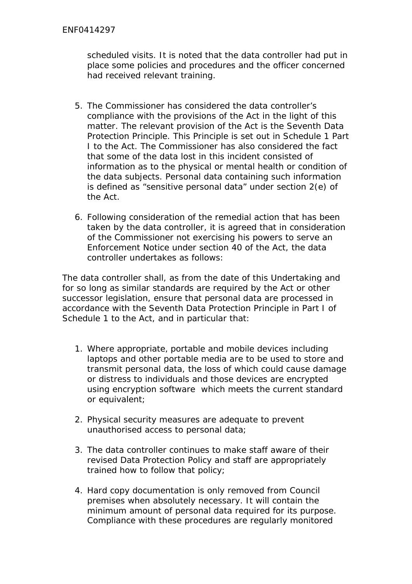scheduled visits. It is noted that the data controller had put in place some policies and procedures and the officer concerned had received relevant training.

- 5. The Commissioner has considered the data controller's compliance with the provisions of the Act in the light of this matter. The relevant provision of the Act is the Seventh Data Protection Principle. This Principle is set out in Schedule 1 Part I to the Act. The Commissioner has also considered the fact that some of the data lost in this incident consisted of information as to the physical or mental health or condition of the data subjects. Personal data containing such information is defined as "sensitive personal data" under section 2(e) of the Act.
- 6. Following consideration of the remedial action that has been taken by the data controller, it is agreed that in consideration of the Commissioner not exercising his powers to serve an Enforcement Notice under section 40 of the Act, the data controller undertakes as follows:

The data controller shall, as from the date of this Undertaking and for so long as similar standards are required by the Act or other successor legislation, ensure that personal data are processed in accordance with the Seventh Data Protection Principle in Part I of Schedule 1 to the Act, and in particular that:

- 1. Where appropriate, portable and mobile devices including laptops and other portable media are to be used to store and transmit personal data, the loss of which could cause damage or distress to individuals and those devices are encrypted using encryption software which meets the current standard or equivalent;
- 2. Physical security measures are adequate to prevent unauthorised access to personal data;
- 3. The data controller continues to make staff aware of their revised Data Protection Policy and staff are appropriately trained how to follow that policy;
- 4. Hard copy documentation is only removed from Council premises when absolutely necessary. It will contain the minimum amount of personal data required for its purpose. Compliance with these procedures are regularly monitored